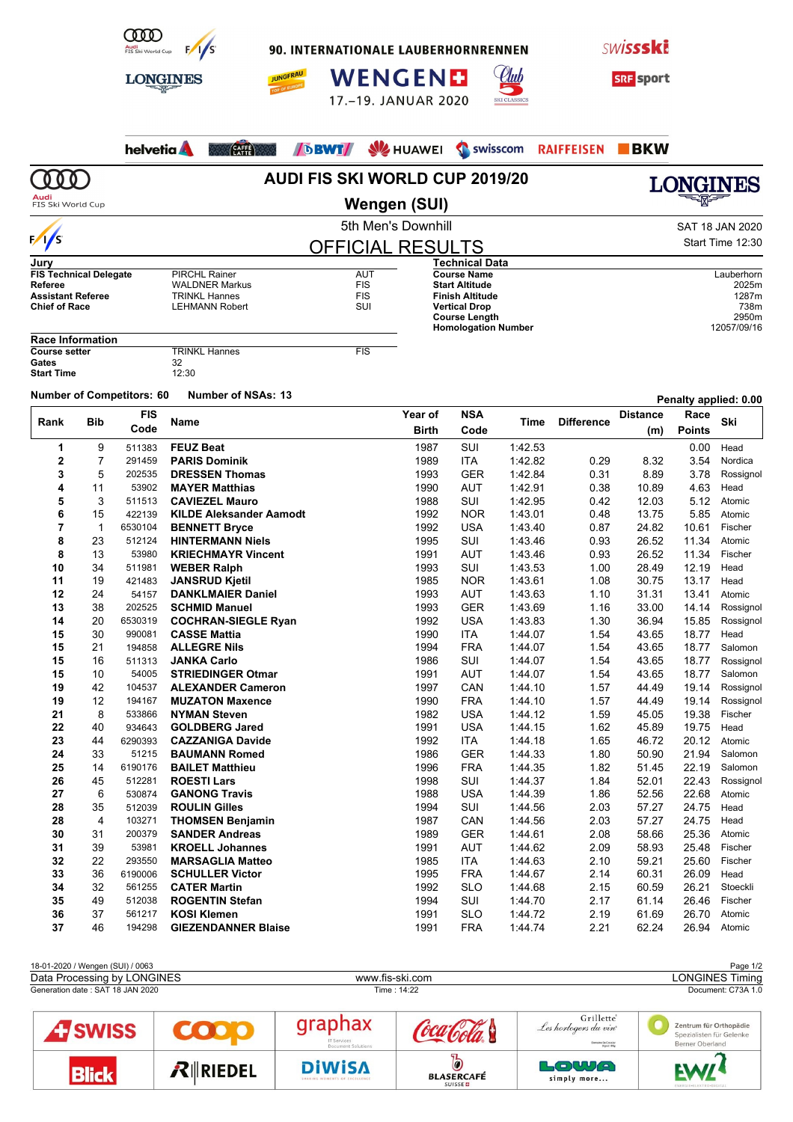

90. INTERNATIONALE LAUBERHORNRENNEN

**JUNGFRAU** 











|                                                  |                |                                  |                                                    | <b>AUDI FIS SKI WORLD CUP 2019/20</b> |                      |                                                    |                    |                   |                 |                | LONGINES               |
|--------------------------------------------------|----------------|----------------------------------|----------------------------------------------------|---------------------------------------|----------------------|----------------------------------------------------|--------------------|-------------------|-----------------|----------------|------------------------|
| Audi<br>FIS Ski World Cup                        |                |                                  |                                                    |                                       | Wengen (SUI)         |                                                    |                    |                   |                 |                |                        |
|                                                  |                |                                  |                                                    |                                       | 5th Men's Downhill   |                                                    |                    |                   |                 |                | SAT 18 JAN 2020        |
| $\frac{1}{s}$                                    |                |                                  |                                                    |                                       |                      |                                                    |                    |                   |                 |                | Start Time 12:30       |
|                                                  |                |                                  |                                                    | <b>OFFICIAL RESULTS</b>               |                      |                                                    |                    |                   |                 |                |                        |
| Jury<br><b>FIS Technical Delegate</b>            |                |                                  | <b>PIRCHL Rainer</b>                               | AUT                                   |                      | Technical Data<br><b>Course Name</b>               |                    |                   |                 |                | Lauberhorn             |
| Referee                                          |                |                                  | <b>WALDNER Markus</b><br>TRINKL Hannes             | <b>FIS</b><br><b>FIS</b>              |                      | <b>Start Altitude</b><br><b>Finish Altitude</b>    |                    |                   |                 |                | 2025m                  |
| <b>Assistant Referee</b><br><b>Chief of Race</b> |                |                                  | <b>LEHMANN Robert</b>                              |                                       | <b>Vertical Drop</b> |                                                    | 1287m<br>738m      |                   |                 |                |                        |
|                                                  |                |                                  |                                                    |                                       |                      | <b>Course Length</b><br><b>Homologation Number</b> |                    |                   |                 |                | 2950m<br>12057/09/16   |
| <b>Race Information</b>                          |                |                                  |                                                    |                                       |                      |                                                    |                    |                   |                 |                |                        |
| <b>Course setter</b><br>Gates                    |                |                                  | <b>TRINKL Hannes</b><br>32                         | <b>FIS</b>                            |                      |                                                    |                    |                   |                 |                |                        |
| <b>Start Time</b>                                |                |                                  | 12:30                                              |                                       |                      |                                                    |                    |                   |                 |                |                        |
|                                                  |                | <b>Number of Competitors: 60</b> | <b>Number of NSAs: 13</b>                          |                                       |                      |                                                    |                    |                   |                 |                | Penalty applied: 0.00  |
|                                                  |                | <b>FIS</b>                       |                                                    |                                       | Year of              | <b>NSA</b>                                         |                    |                   | <b>Distance</b> | Race           |                        |
| Rank                                             | Bib            | Code                             | <b>Name</b>                                        |                                       | <b>Birth</b>         | Code                                               | Time               | <b>Difference</b> | (m)             | <b>Points</b>  | Ski                    |
| 1                                                | 9              | 511383                           | <b>FEUZ Beat</b>                                   |                                       | 1987                 | SUI                                                | 1:42.53            |                   |                 | 0.00           | Head                   |
| $\mathbf{2}$                                     | $\overline{7}$ | 291459                           | <b>PARIS Dominik</b>                               |                                       | 1989                 | <b>ITA</b>                                         | 1:42.82            | 0.29              | 8.32            | 3.54           | Nordica                |
| 3                                                | 5              | 202535                           | <b>DRESSEN Thomas</b>                              |                                       | 1993                 | <b>GER</b>                                         | 1:42.84            | 0.31              | 8.89            | 3.78           | Rossignol              |
| 4                                                | 11             | 53902                            | <b>MAYER Matthias</b>                              |                                       | 1990                 | <b>AUT</b>                                         | 1:42.91            | 0.38              | 10.89           | 4.63           | Head                   |
| 5                                                | 3              | 511513                           | <b>CAVIEZEL Mauro</b>                              |                                       | 1988                 | SUI                                                | 1:42.95            | 0.42              | 12.03           | 5.12           | Atomic                 |
| 6                                                | 15             | 422139                           | <b>KILDE Aleksander Aamodt</b>                     |                                       | 1992<br>1992         | <b>NOR</b>                                         | 1:43.01<br>1:43.40 | 0.48              | 13.75           | 5.85           | Atomic                 |
| 7<br>8                                           | 1<br>23        | 6530104<br>512124                | <b>BENNETT Bryce</b><br><b>HINTERMANN Niels</b>    |                                       | 1995                 | <b>USA</b><br>SUI                                  | 1:43.46            | 0.87<br>0.93      | 24.82<br>26.52  | 10.61<br>11.34 | Fischer<br>Atomic      |
| 8                                                | 13             | 53980                            | <b>KRIECHMAYR Vincent</b>                          |                                       | 1991                 | AUT                                                | 1:43.46            | 0.93              | 26.52           | 11.34          | Fischer                |
| 10                                               | 34             | 511981                           | <b>WEBER Ralph</b>                                 |                                       | 1993                 | SUI                                                | 1:43.53            | 1.00              | 28.49           | 12.19          | Head                   |
| 11                                               | 19             | 421483                           | <b>JANSRUD Kjetil</b>                              |                                       | 1985                 | <b>NOR</b>                                         | 1:43.61            | 1.08              | 30.75           | 13.17          | Head                   |
| 12                                               | 24             | 54157                            | <b>DANKLMAIER Daniel</b>                           |                                       | 1993                 | AUT                                                | 1:43.63            | 1.10              | 31.31           | 13.41          | Atomic                 |
| 13                                               | 38             | 202525                           | <b>SCHMID Manuel</b>                               |                                       | 1993                 | <b>GER</b>                                         | 1:43.69            | 1.16              | 33.00           | 14.14          | Rossignol              |
| 14                                               | 20             | 6530319                          | <b>COCHRAN-SIEGLE Ryan</b>                         |                                       | 1992                 | <b>USA</b>                                         | 1:43.83            | 1.30              | 36.94           | 15.85          | Rossignol              |
| 15                                               | 30             | 990081                           | <b>CASSE Mattia</b>                                |                                       | 1990                 | <b>ITA</b>                                         | 1:44.07            | 1.54              | 43.65           | 18.77          | Head                   |
| 15                                               | 21             | 194858                           | <b>ALLEGRE Nils</b>                                |                                       | 1994                 | <b>FRA</b>                                         | 1:44.07            | 1.54              | 43.65           | 18.77          | Salomon                |
| 15                                               | 16             | 511313                           | <b>JANKA Carlo</b>                                 |                                       | 1986                 | SUI                                                | 1:44.07            | 1.54              | 43.65           | 18.77          | Rossignol              |
| 15                                               | 10             | 54005                            | <b>STRIEDINGER Otmar</b>                           |                                       | 1991                 | AUT                                                | 1:44.07            | 1.54              | 43.65           | 18.77          | Salomon                |
| 19<br>19                                         | 42<br>12       | 104537<br>194167                 | <b>ALEXANDER Cameron</b><br><b>MUZATON Maxence</b> |                                       | 1997<br>1990         | CAN<br><b>FRA</b>                                  | 1:44.10<br>1:44.10 | 1.57<br>1.57      | 44.49<br>44.49  | 19.14<br>19.14 | Rossignol<br>Rossignol |
| 21                                               | 8              | 533866                           | <b>NYMAN Steven</b>                                |                                       | 1982                 | <b>USA</b>                                         | 1:44.12            | 1.59              | 45.05           | 19.38          | Fischer                |
| 22                                               | 40             | 934643                           | <b>GOLDBERG Jared</b>                              |                                       | 1991                 | USA                                                | 1:44.15            | 1.62              | 45.89           | 19.75          | Head                   |
| 23                                               | 44             | 6290393                          | <b>CAZZANIGA Davide</b>                            |                                       | 1992                 | ITA                                                | 1.44.18            | 1.65              | 46.72           |                | 20.12 Atomic           |
| 24                                               | 33             | 51215                            | <b>BAUMANN Romed</b>                               |                                       | 1986                 | <b>GER</b>                                         | 1.44.33            | 1.80              | 50.90           | 21.94          | Salomon                |
| 25                                               | 14             | 6190176                          | <b>BAILET Matthieu</b>                             |                                       | 1996                 | <b>FRA</b>                                         | 1.44.35            | 1.82              | 51.45           | 22.19          | Salomon                |
| 26                                               | 45             | 512281                           | <b>ROESTI Lars</b>                                 |                                       | 1998                 | SUI                                                | 1:44.37            | 1.84              | 52.01           | 22.43          | Rossignol              |
| 27                                               | 6              | 530874                           | <b>GANONG Travis</b>                               |                                       | 1988                 | <b>USA</b>                                         | 1:44.39            | 1.86              | 52.56           | 22.68          | Atomic                 |
| 28                                               | 35             | 512039                           | <b>ROULIN Gilles</b>                               |                                       | 1994                 | SUI                                                | 1.44.56            | 2.03              | 57.27           | 24.75          | Head                   |
| 28                                               | 4              | 103271                           | <b>THOMSEN Benjamin</b>                            |                                       | 1987                 | CAN                                                | 1.44.56            | 2.03              | 57.27           | 24.75          | Head                   |
| 30<br>31                                         | 31<br>39       | 200379<br>53981                  | <b>SANDER Andreas</b><br><b>KROELL Johannes</b>    |                                       | 1989<br>1991         | <b>GER</b>                                         | 1:44.61<br>1.44.62 | 2.08              | 58.66           | 25.36<br>25.48 | Atomic                 |
| 32                                               | 22             | 293550                           | <b>MARSAGLIA Matteo</b>                            |                                       | 1985                 | AUT<br>ITA                                         | 1:44.63            | 2.09<br>2.10      | 58.93<br>59.21  | 25.60          | Fischer<br>Fischer     |
| 33                                               | 36             | 6190006                          | <b>SCHULLER Victor</b>                             |                                       | 1995                 | <b>FRA</b>                                         | 1:44.67            | 2.14              | 60.31           | 26.09          | Head                   |
| 34                                               | 32             | 561255                           | <b>CATER Martin</b>                                |                                       | 1992                 | <b>SLO</b>                                         | 1.44.68            | 2.15              | 60.59           | 26.21          | Stoeckli               |
| 35                                               | 49             | 512038                           | <b>ROGENTIN Stefan</b>                             |                                       | 1994                 | SUI                                                | 1.44.70            | 2.17              | 61.14           | 26.46          | Fischer                |
| 36                                               | 37             | 561217                           | <b>KOSI Klemen</b>                                 |                                       | 1991                 | <b>SLO</b>                                         | 1.44.72            | 2.19              | 61.69           | 26.70          | Atomic                 |
| 37                                               | 46             | 194298                           | <b>GIEZENDANNER Blaise</b>                         |                                       | 1991                 | <b>FRA</b>                                         | 1.44.74            | 2.21              | 62.24           |                | 26.94 Atomic           |
|                                                  |                |                                  |                                                    |                                       |                      |                                                    |                    |                   |                 |                |                        |
|                                                  |                | 18-01-2020 / Wengen (SUI) / 0063 |                                                    |                                       |                      |                                                    |                    |                   |                 |                | Page 1/2               |
| Data Processing by LONGINES                      |                |                                  |                                                    |                                       | www.fis-ski.com      |                                                    |                    |                   |                 |                | <b>LONGINES Timing</b> |

| Data FIOCESSING BY LUINDINES     |                   |                                                | WWW.IIS-SNI.COIII                   |                                                                            | LUNUINEJ TIIIIIIU                                                            |  |  |  |
|----------------------------------|-------------------|------------------------------------------------|-------------------------------------|----------------------------------------------------------------------------|------------------------------------------------------------------------------|--|--|--|
| Generation date: SAT 18 JAN 2020 |                   |                                                | Time: 14:22                         | Document: C73A 1.0                                                         |                                                                              |  |  |  |
| <b>C</b> SWISS                   |                   | graphax<br>IT Services<br>Document Solutions   |                                     | Grillette<br>Les horlogers du vin<br>Domaine De Cressier<br>Dressis (Billa | Zentrum für Orthopädie<br>Spezialisten für Gelenke<br><b>Berner Oberland</b> |  |  |  |
| <b>Blick</b>                     | $R$ <b>RIEDEL</b> | <b>DiWISA</b><br>SHARING MOMENTS OF EXCELLENCE | <b>BLASERCAFÉ</b><br><b>SUISSED</b> | LOWA<br>simply more                                                        | <b>EW/</b><br>ENERGIE-ELEKTRO-DIGITAL                                        |  |  |  |